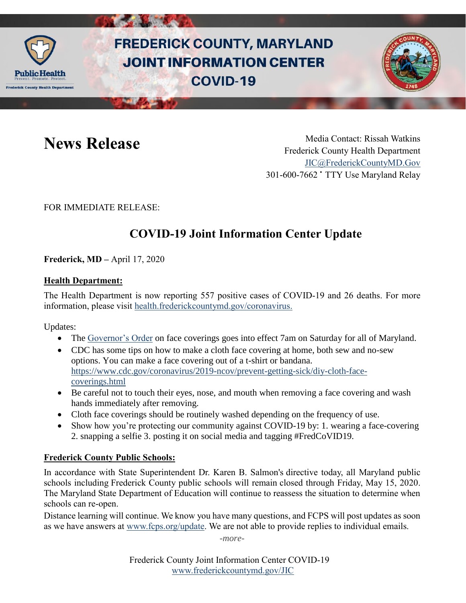

# **FREDERICK COUNTY, MARYLAND JOINT INFORMATION CENTER COVID-19**



**News Release** Media Contact: Rissah Watkins Frederick County Health Department [JIC@FrederickCountyMD.Gov](mailto:JIC@FrederickCountyMD.Gov) 301-600-7662 • TTY Use Maryland Relay

FOR IMMEDIATE RELEASE:

# **COVID-19 Joint Information Center Update**

**Frederick, MD –** April 17, 2020

#### **Health Department:**

The Health Department is now reporting 557 positive cases of COVID-19 and 26 deaths. For more information, please visit [health.frederickcountymd.gov/coronavirus.](https://health.frederickcountymd.gov/614/Novel-Coronavirus-COVID-19)

Updates:

- The [Governor's Order](https://governor.maryland.gov/wp-content/uploads/2020/04/Masks-and-Physical-Distancing-4.15.20.pdf) on face coverings goes into effect 7am on Saturday for all of Maryland.
- CDC has some tips on how to make a cloth face covering at home, both sew and no-sew options. You can make a face covering out of a t-shirt or bandana. [https://www.cdc.gov/coronavirus/2019-ncov/prevent-getting-sick/diy-cloth-face](https://www.cdc.gov/coronavirus/2019-ncov/prevent-getting-sick/diy-cloth-face-coverings.html)[coverings.html](https://www.cdc.gov/coronavirus/2019-ncov/prevent-getting-sick/diy-cloth-face-coverings.html)
- Be careful not to touch their eyes, nose, and mouth when removing a face covering and wash hands immediately after removing.
- Cloth face coverings should be routinely washed depending on the frequency of use.
- Show how you're protecting our community against COVID-19 by: 1. wearing a face-covering 2. snapping a selfie 3. posting it on social media and tagging #FredCoVID19.

#### **Frederick County Public Schools:**

In accordance with State Superintendent Dr. Karen B. Salmon's directive today, all Maryland public schools including Frederick County public schools will remain closed through Friday, May 15, 2020. The Maryland State Department of Education will continue to reassess the situation to determine when schools can re-open.

Distance learning will continue. We know you have many questions, and FCPS will post updates as soon as we have answers at [www.fcps.org/update.](https://linkprotect.cudasvc.com/url?a=http%3a%2f%2fwww.fcps.org%2fupdate&c=E,1,4dqMOx0BvBdNGtCYOvTPaiP5Gb7jGyVROGXPbG6K8sLWEc0zrN9KGK0gAUZNJJM9mmcUrrpvM7oWxa-ic0p_UHDcwkM7XGZLLk7q2bAq5EQtkKS0&typo=1) We are not able to provide replies to individual emails.

*-more-*

Frederick County Joint Information Center COVID-19 [www.frederickcountymd.gov/JIC](https://frederickcountymd.gov/JIC)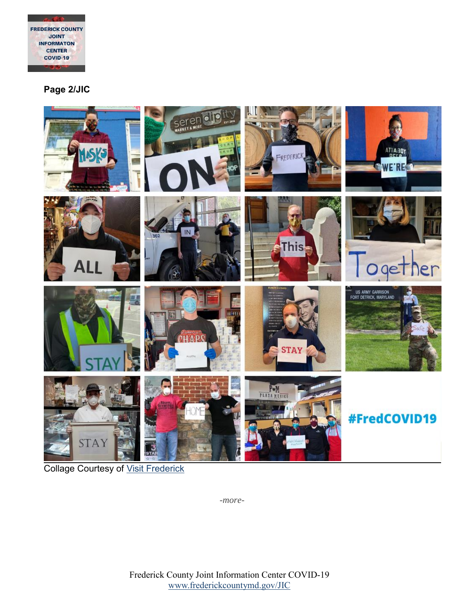

**Page 2/JIC**



**Collage Courtesy of [Visit Frederick](http://www.visitfrederick.org/)** 

*-more-*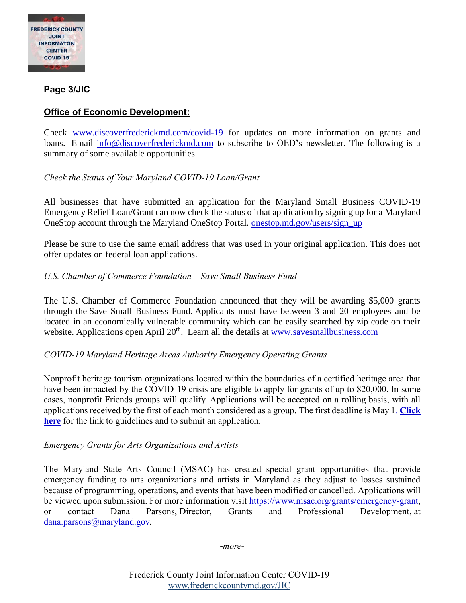

**Page 3/JIC**

## **Office of Economic Development:**

Check [www.discoverfrederickmd.com/covid-19](http://www.discoverfrederickmd.com/covid-19) for updates on more information on grants and loans. Email [info@discoverfrederickmd.com](mailto:info@discoverfrederickmd.com) to subscribe to OED's newsletter. The following is a summary of some available opportunities.

#### *Check the Status of Your Maryland COVID-19 Loan/Grant*

All businesses that have submitted an application for the Maryland Small Business COVID-19 Emergency Relief Loan/Grant can now check the status of that application by signing up for a Maryland OneStop account through the Maryland OneStop Portal. [onestop.md.gov/users/sign\\_up](https://onestop.md.gov/users/sign_up)

Please be sure to use the same email address that was used in your original application. This does not offer updates on federal loan applications.

#### *U.S. Chamber of Commerce Foundation – Save Small Business Fund*

The U.S. Chamber of Commerce Foundation announced that they will be awarding \$5,000 grants through the Save Small Business Fund. Applicants must have between 3 and 20 employees and be located in an economically vulnerable community which can be easily searched by zip code on their website. Applications open April 20<sup>th</sup>. Learn all the details at [www.savesmallbusiness.com](http://www.savesmallbusiness.com/)

#### *COVID-19 Maryland Heritage Areas Authority Emergency Operating Grants*

Nonprofit heritage tourism organizations located within the boundaries of a certified heritage area that have been impacted by the COVID-19 crisis are eligible to apply for grants of up to \$20,000. In some cases, nonprofit Friends groups will qualify. Applications will be accepted on a rolling basis, with all applications received by the first of each month considered as a group. The first deadline is May 1. **[Click](http://r20.rs6.net/tn.jsp?f=001fdCxxVBTMXhQjTZ3BrHtkZcrgQo4nGDEr-1LP6ay9Dq6vCQr0Btu6D1RGbLa_pXI-0xedGgTg4KJJmWzYcZ_ZIYlF5NZiSVvLzP9uqrB2bFMJIanSV0ayzaQmZIh35RAqnfr6U-ZmvDYMoBbQq6KFw==&c=XRaGi2ISVLiOb4k0bsR_HoaoeHCdkmub-8bqvlFDcQIJsg-v53QGiQ==&ch=EIw4SuoIbjT1w8tW0jw1nkSwKBIgVjNyIIwsIw2DyKTEOuBEkwOIeQ==)  [here](http://r20.rs6.net/tn.jsp?f=001fdCxxVBTMXhQjTZ3BrHtkZcrgQo4nGDEr-1LP6ay9Dq6vCQr0Btu6D1RGbLa_pXI-0xedGgTg4KJJmWzYcZ_ZIYlF5NZiSVvLzP9uqrB2bFMJIanSV0ayzaQmZIh35RAqnfr6U-ZmvDYMoBbQq6KFw==&c=XRaGi2ISVLiOb4k0bsR_HoaoeHCdkmub-8bqvlFDcQIJsg-v53QGiQ==&ch=EIw4SuoIbjT1w8tW0jw1nkSwKBIgVjNyIIwsIw2DyKTEOuBEkwOIeQ==)** for the link to guidelines and to submit an application.

#### *Emergency Grants for Arts Organizations and Artists*

The Maryland State Arts Council (MSAC) has created special grant opportunities that provide emergency funding to arts organizations and artists in Maryland as they adjust to losses sustained because of programming, operations, and events that have been modified or cancelled. Applications will be viewed upon submission. For more information visit [https://www.msac.org/grants/emergency-grant,](http://r20.rs6.net/tn.jsp?f=001fdCxxVBTMXhQjTZ3BrHtkZcrgQo4nGDEr-1LP6ay9Dq6vCQr0Btu6D1RGbLa_pXIQs_qbRokTfJImTui43gL3ZOmSrcyULro6u6iM1Mom25iCjhSsw6gXRyEExSxs6vRTo1eps_0R0D7NUIkv3aQt6a_5izs4wG1ttb7V0eVpB5VvMRKFSxuBeLmOV098TlOgdyipB22Jn34JbZVR0wiuuZvVrX6jQl10dSe44lbf-TD-a5U1OBpX03Cv7CxtznK4Gy30OncLef3WFxlQm9kXjr7uEkGm52A&c=XRaGi2ISVLiOb4k0bsR_HoaoeHCdkmub-8bqvlFDcQIJsg-v53QGiQ==&ch=EIw4SuoIbjT1w8tW0jw1nkSwKBIgVjNyIIwsIw2DyKTEOuBEkwOIeQ==) or contact Dana Parsons, Director, Grants and Professional Development, at [dana.parsons@maryland.gov.](mailto:dana.parsons@maryland.gov)

-*more-*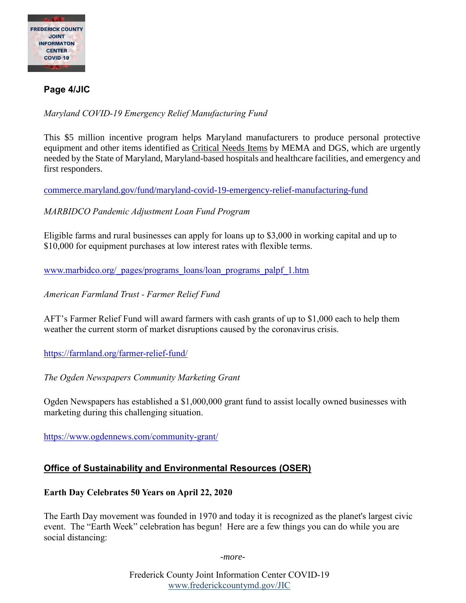

# **Page 4/JIC**

*Maryland COVID-19 Emergency Relief Manufacturing Fund*

This \$5 million incentive program helps Maryland manufacturers to produce personal protective equipment and other items identified as [Critical Needs Items](https://docs.google.com/document/d/1A9-LyinxeRPdUXdpSvOKuQLpflIxv6z4L_otu8jWue4/edit?usp=sharing) by MEMA and DGS, which are urgently needed by the State of Maryland, Maryland-based hospitals and healthcare facilities, and emergency and first responders.

[commerce.maryland.gov/fund/maryland-covid-19-emergency-relief-manufacturing-fund](https://commerce.maryland.gov/fund/maryland-covid-19-emergency-relief-manufacturing-fund)

*MARBIDCO Pandemic Adjustment Loan Fund Program*

Eligible farms and rural businesses can apply for loans up to \$3,000 in working capital and up to \$10,000 for equipment purchases at low interest rates with flexible terms.

[www.marbidco.org/\\_pages/programs\\_loans/loan\\_programs\\_palpf\\_1.htm](http://www.marbidco.org/_pages/programs_loans/loan_programs_palpf_1.htm)

*American Farmland Trust - Farmer Relief Fund*

AFT's Farmer Relief Fund will award farmers with cash grants of up to \$1,000 each to help them weather the current storm of market disruptions caused by the coronavirus crisis.

<https://farmland.org/farmer-relief-fund/>

*The Ogden Newspapers Community Marketing Grant*

Ogden Newspapers has established a \$1,000,000 grant fund to assist locally owned businesses with marketing during this challenging situation.

<https://www.ogdennews.com/community-grant/>

## **Office of Sustainability and Environmental Resources (OSER)**

#### **Earth Day Celebrates 50 Years on April 22, 2020**

The Earth Day movement was founded in 1970 and today it is recognized as the planet's largest civic event. The "Earth Week" celebration has begun! Here are a few things you can do while you are social distancing:

*-more-*

Frederick County Joint Information Center COVID-19 [www.frederickcountymd.gov/JIC](https://frederickcountymd.gov/JIC)